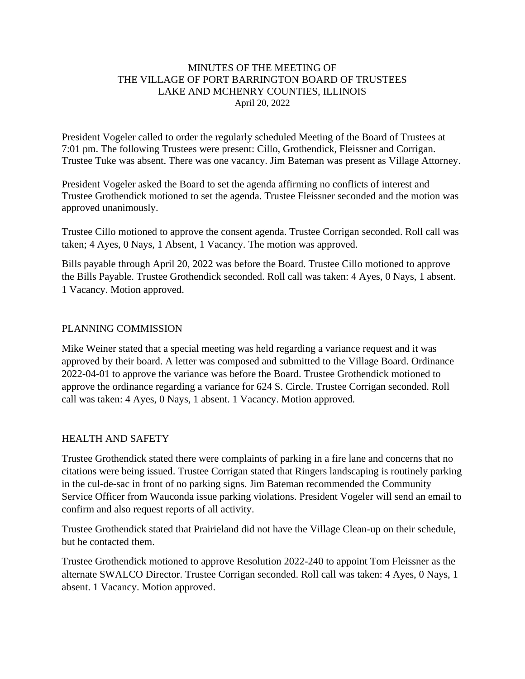#### MINUTES OF THE MEETING OF THE VILLAGE OF PORT BARRINGTON BOARD OF TRUSTEES LAKE AND MCHENRY COUNTIES, ILLINOIS April 20, 2022

President Vogeler called to order the regularly scheduled Meeting of the Board of Trustees at 7:01 pm. The following Trustees were present: Cillo, Grothendick, Fleissner and Corrigan. Trustee Tuke was absent. There was one vacancy. Jim Bateman was present as Village Attorney.

President Vogeler asked the Board to set the agenda affirming no conflicts of interest and Trustee Grothendick motioned to set the agenda. Trustee Fleissner seconded and the motion was approved unanimously.

Trustee Cillo motioned to approve the consent agenda. Trustee Corrigan seconded. Roll call was taken; 4 Ayes, 0 Nays, 1 Absent, 1 Vacancy. The motion was approved.

Bills payable through April 20, 2022 was before the Board. Trustee Cillo motioned to approve the Bills Payable. Trustee Grothendick seconded. Roll call was taken: 4 Ayes, 0 Nays, 1 absent. 1 Vacancy. Motion approved.

#### PLANNING COMMISSION

Mike Weiner stated that a special meeting was held regarding a variance request and it was approved by their board. A letter was composed and submitted to the Village Board. Ordinance 2022-04-01 to approve the variance was before the Board. Trustee Grothendick motioned to approve the ordinance regarding a variance for 624 S. Circle. Trustee Corrigan seconded. Roll call was taken: 4 Ayes, 0 Nays, 1 absent. 1 Vacancy. Motion approved.

#### HEALTH AND SAFETY

Trustee Grothendick stated there were complaints of parking in a fire lane and concerns that no citations were being issued. Trustee Corrigan stated that Ringers landscaping is routinely parking in the cul-de-sac in front of no parking signs. Jim Bateman recommended the Community Service Officer from Wauconda issue parking violations. President Vogeler will send an email to confirm and also request reports of all activity.

Trustee Grothendick stated that Prairieland did not have the Village Clean-up on their schedule, but he contacted them.

Trustee Grothendick motioned to approve Resolution 2022-240 to appoint Tom Fleissner as the alternate SWALCO Director. Trustee Corrigan seconded. Roll call was taken: 4 Ayes, 0 Nays, 1 absent. 1 Vacancy. Motion approved.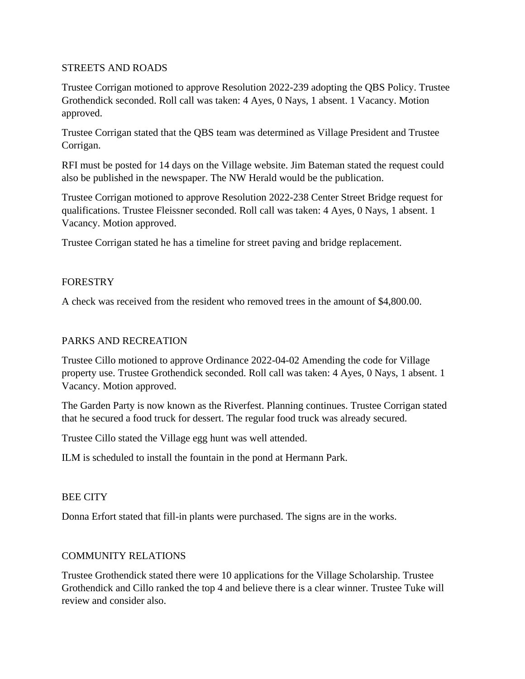#### STREETS AND ROADS

Trustee Corrigan motioned to approve Resolution 2022-239 adopting the QBS Policy. Trustee Grothendick seconded. Roll call was taken: 4 Ayes, 0 Nays, 1 absent. 1 Vacancy. Motion approved.

Trustee Corrigan stated that the QBS team was determined as Village President and Trustee Corrigan.

RFI must be posted for 14 days on the Village website. Jim Bateman stated the request could also be published in the newspaper. The NW Herald would be the publication.

Trustee Corrigan motioned to approve Resolution 2022-238 Center Street Bridge request for qualifications. Trustee Fleissner seconded. Roll call was taken: 4 Ayes, 0 Nays, 1 absent. 1 Vacancy. Motion approved.

Trustee Corrigan stated he has a timeline for street paving and bridge replacement.

#### FORESTRY

A check was received from the resident who removed trees in the amount of \$4,800.00.

## PARKS AND RECREATION

Trustee Cillo motioned to approve Ordinance 2022-04-02 Amending the code for Village property use. Trustee Grothendick seconded. Roll call was taken: 4 Ayes, 0 Nays, 1 absent. 1 Vacancy. Motion approved.

The Garden Party is now known as the Riverfest. Planning continues. Trustee Corrigan stated that he secured a food truck for dessert. The regular food truck was already secured.

Trustee Cillo stated the Village egg hunt was well attended.

ILM is scheduled to install the fountain in the pond at Hermann Park.

## BEE CITY

Donna Erfort stated that fill-in plants were purchased. The signs are in the works.

## COMMUNITY RELATIONS

Trustee Grothendick stated there were 10 applications for the Village Scholarship. Trustee Grothendick and Cillo ranked the top 4 and believe there is a clear winner. Trustee Tuke will review and consider also.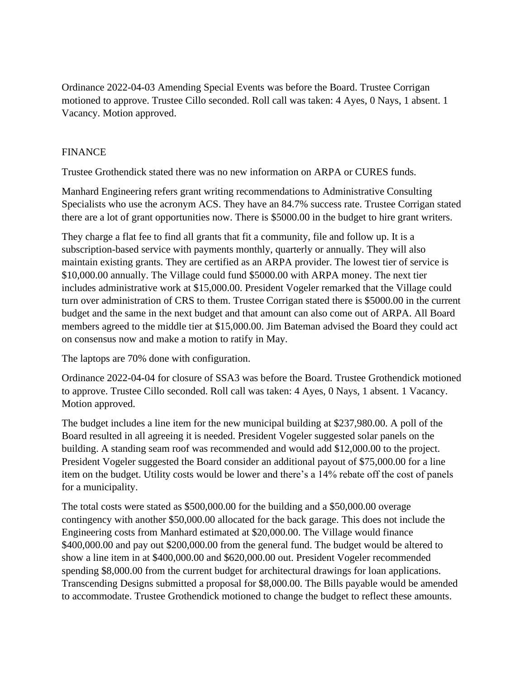Ordinance 2022-04-03 Amending Special Events was before the Board. Trustee Corrigan motioned to approve. Trustee Cillo seconded. Roll call was taken: 4 Ayes, 0 Nays, 1 absent. 1 Vacancy. Motion approved.

# FINANCE

Trustee Grothendick stated there was no new information on ARPA or CURES funds.

Manhard Engineering refers grant writing recommendations to Administrative Consulting Specialists who use the acronym ACS. They have an 84.7% success rate. Trustee Corrigan stated there are a lot of grant opportunities now. There is \$5000.00 in the budget to hire grant writers.

They charge a flat fee to find all grants that fit a community, file and follow up. It is a subscription-based service with payments monthly, quarterly or annually. They will also maintain existing grants. They are certified as an ARPA provider. The lowest tier of service is \$10,000.00 annually. The Village could fund \$5000.00 with ARPA money. The next tier includes administrative work at \$15,000.00. President Vogeler remarked that the Village could turn over administration of CRS to them. Trustee Corrigan stated there is \$5000.00 in the current budget and the same in the next budget and that amount can also come out of ARPA. All Board members agreed to the middle tier at \$15,000.00. Jim Bateman advised the Board they could act on consensus now and make a motion to ratify in May.

The laptops are 70% done with configuration.

Ordinance 2022-04-04 for closure of SSA3 was before the Board. Trustee Grothendick motioned to approve. Trustee Cillo seconded. Roll call was taken: 4 Ayes, 0 Nays, 1 absent. 1 Vacancy. Motion approved.

The budget includes a line item for the new municipal building at \$237,980.00. A poll of the Board resulted in all agreeing it is needed. President Vogeler suggested solar panels on the building. A standing seam roof was recommended and would add \$12,000.00 to the project. President Vogeler suggested the Board consider an additional payout of \$75,000.00 for a line item on the budget. Utility costs would be lower and there's a 14% rebate off the cost of panels for a municipality.

The total costs were stated as \$500,000.00 for the building and a \$50,000.00 overage contingency with another \$50,000.00 allocated for the back garage. This does not include the Engineering costs from Manhard estimated at \$20,000.00. The Village would finance \$400,000.00 and pay out \$200,000.00 from the general fund. The budget would be altered to show a line item in at \$400,000.00 and \$620,000.00 out. President Vogeler recommended spending \$8,000.00 from the current budget for architectural drawings for loan applications. Transcending Designs submitted a proposal for \$8,000.00. The Bills payable would be amended to accommodate. Trustee Grothendick motioned to change the budget to reflect these amounts.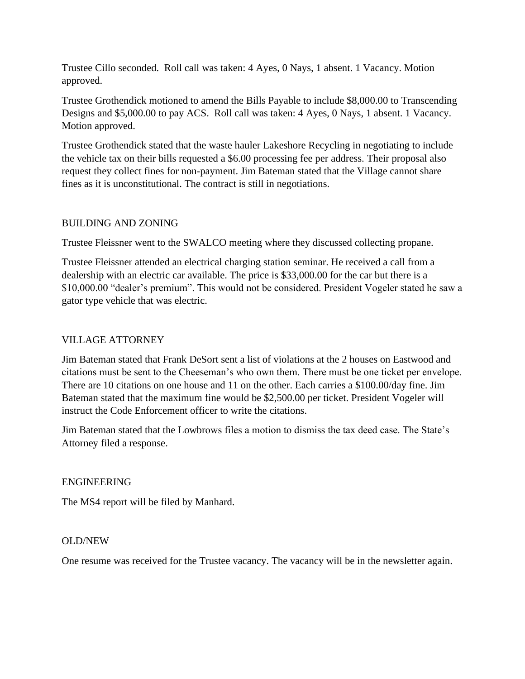Trustee Cillo seconded. Roll call was taken: 4 Ayes, 0 Nays, 1 absent. 1 Vacancy. Motion approved.

Trustee Grothendick motioned to amend the Bills Payable to include \$8,000.00 to Transcending Designs and \$5,000.00 to pay ACS. Roll call was taken: 4 Ayes, 0 Nays, 1 absent. 1 Vacancy. Motion approved.

Trustee Grothendick stated that the waste hauler Lakeshore Recycling in negotiating to include the vehicle tax on their bills requested a \$6.00 processing fee per address. Their proposal also request they collect fines for non-payment. Jim Bateman stated that the Village cannot share fines as it is unconstitutional. The contract is still in negotiations.

# BUILDING AND ZONING

Trustee Fleissner went to the SWALCO meeting where they discussed collecting propane.

Trustee Fleissner attended an electrical charging station seminar. He received a call from a dealership with an electric car available. The price is \$33,000.00 for the car but there is a \$10,000.00 "dealer's premium". This would not be considered. President Vogeler stated he saw a gator type vehicle that was electric.

# VILLAGE ATTORNEY

Jim Bateman stated that Frank DeSort sent a list of violations at the 2 houses on Eastwood and citations must be sent to the Cheeseman's who own them. There must be one ticket per envelope. There are 10 citations on one house and 11 on the other. Each carries a \$100.00/day fine. Jim Bateman stated that the maximum fine would be \$2,500.00 per ticket. President Vogeler will instruct the Code Enforcement officer to write the citations.

Jim Bateman stated that the Lowbrows files a motion to dismiss the tax deed case. The State's Attorney filed a response.

## ENGINEERING

The MS4 report will be filed by Manhard.

## OLD/NEW

One resume was received for the Trustee vacancy. The vacancy will be in the newsletter again.